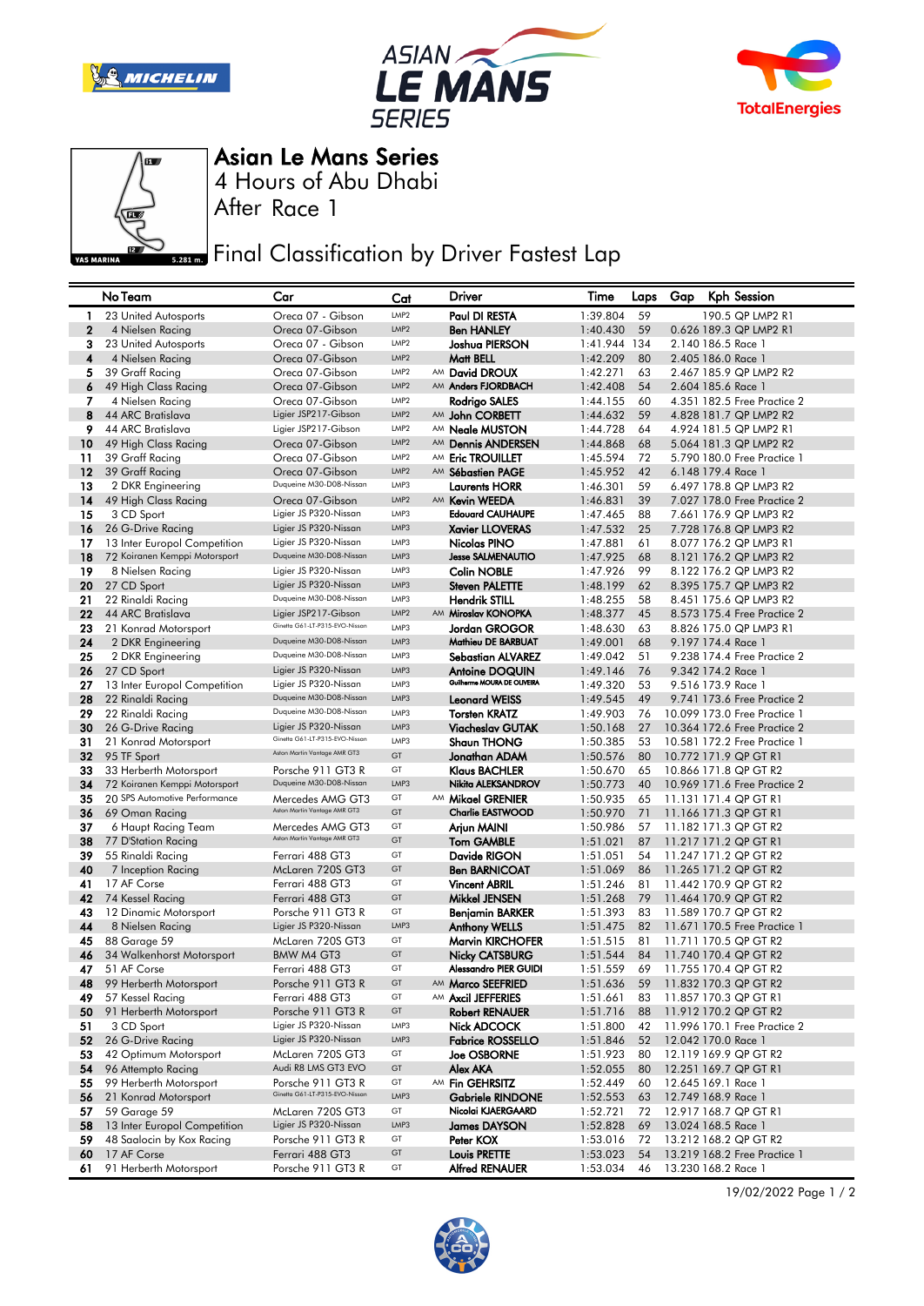







4 Hours of Abu Dhabi Asian Le Mans Series

After Race 1

**Final Classification by Driver Fastest Lap** 

|                  | No Team                       | Car                            | Cat              | Driver                       | Time     | Laps | Gap | Kph Session                  |
|------------------|-------------------------------|--------------------------------|------------------|------------------------------|----------|------|-----|------------------------------|
| -1               | 23 United Autosports          | Oreca 07 - Gibson              | LMP2             | Paul DI RESTA                | 1:39.804 | 59   |     | 190.5 QP LMP2 R1             |
| $\boldsymbol{2}$ | 4 Nielsen Racing              | Oreca 07-Gibson                | LMP2             | <b>Ben HANLEY</b>            | 1:40.430 | 59   |     | 0.626 189.3 QP LMP2 R1       |
| 3                | 23 United Autosports          | Oreca 07 - Gibson              | LMP <sub>2</sub> | Joshua PIERSON               | 1:41.944 | 134  |     | 2.140 186.5 Race 1           |
| 4                | 4 Nielsen Racing              | Oreca 07-Gibson                | LMP <sub>2</sub> | Matt BELL                    | 1:42.209 | 80   |     | 2.405 186.0 Race 1           |
| 5                | 39 Graff Racing               | Oreca 07-Gibson                | LMP <sub>2</sub> | AM David DROUX               | 1:42.271 | 63   |     | 2.467 185.9 QP LMP2 R2       |
| 6                | 49 High Class Racing          | Oreca 07-Gibson                | LMP <sub>2</sub> | AM Anders FJORDBACH          | 1:42.408 | 54   |     | 2.604 185.6 Race 1           |
| 7                | 4 Nielsen Racing              | Oreca 07-Gibson                | LMP <sub>2</sub> | Rodrigo SALES                | 1:44.155 | 60   |     | 4.351 182.5 Free Practice 2  |
| 8                | 44 ARC Bratislava             | Ligier JSP217-Gibson           | LMP <sub>2</sub> | AM John CORBETT              | 1:44.632 | 59   |     | 4.828 181.7 QP LMP2 R2       |
| 9                | 44 ARC Bratislava             | Ligier JSP217-Gibson           | LMP <sub>2</sub> | AM <b>Neale MUSTON</b>       | 1:44.728 | 64   |     | 4.924 181.5 QP LMP2 R1       |
| 10               | 49 High Class Racing          | Oreca 07-Gibson                | LMP <sub>2</sub> | AM Dennis ANDERSEN           | 1:44.868 | 68   |     | 5.064 181.3 QP LMP2 R2       |
| 11               | 39 Graff Racing               | Oreca 07-Gibson                | LMP <sub>2</sub> | AM Eric TROUILLET            | 1:45.594 | 72   |     | 5.790 180.0 Free Practice 1  |
| 12               | 39 Graff Racing               | Oreca 07-Gibson                | LMP <sub>2</sub> | AM Sébastien PAGE            | 1:45.952 | 42   |     | 6.148 179.4 Race 1           |
| 13               | 2 DKR Engineering             | Duqueine M30-D08-Nissan        | LMP3             | <b>Laurents HORR</b>         | 1:46.301 | 59   |     | 6.497 178.8 QP LMP3 R2       |
| 14               | 49 High Class Racing          | Oreca 07-Gibson                | LMP <sub>2</sub> | AM Kevin WEEDA               | 1:46.831 | 39   |     | 7.027 178.0 Free Practice 2  |
| 15               | 3 CD Sport                    | Ligier JS P320-Nissan          | LMP3             | <b>Edouard CAUHAUPE</b>      | 1:47.465 | 88   |     | 7.661 176.9 QP LMP3 R2       |
| 16               | 26 G-Drive Racing             | Ligier JS P320-Nissan          | LMP3             | <b>Xavier LLOVERAS</b>       | 1:47.532 | 25   |     | 7.728 176.8 QP LMP3 R2       |
| 17               | 13 Inter Europol Competition  | Ligier JS P320-Nissan          | LMP3             | Nicolas PINO                 | 1:47.881 | 61   |     | 8.077 176.2 QP LMP3 R1       |
| 18               | 72 Koiranen Kemppi Motorsport | Duqueine M30-D08-Nissan        | LMP3             | <b>Jesse SALMENAUTIO</b>     | 1:47.925 | 68   |     | 8.121 176.2 QP LMP3 R2       |
| 19               | 8 Nielsen Racing              | Ligier JS P320-Nissan          | LMP3             | <b>Colin NOBLE</b>           | 1:47.926 | 99   |     | 8.122 176.2 QP LMP3 R2       |
| 20               | 27 CD Sport                   | Ligier JS P320-Nissan          | LMP3             | Steven PALETTE               | 1:48.199 | 62   |     | 8.395 175.7 QP LMP3 R2       |
| 21               | 22 Rinaldi Racing             | Duqueine M30-D08-Nissan        | LMP3             | <b>Hendrik STILL</b>         | 1:48.255 | 58   |     | 8.451 175.6 QP LMP3 R2       |
| 22               | 44 ARC Bratislava             | Ligier JSP217-Gibson           | LMP <sub>2</sub> | AM Miroslav KONOPKA          | 1:48.377 | 45   |     | 8.573 175.4 Free Practice 2  |
| 23               | 21 Konrad Motorsport          | Ginetta G61-LT-P315-EVO-Nissan | LMP3             | Jordan GROGOR                | 1:48.630 | 63   |     | 8.826 175.0 QP LMP3 R1       |
| 24               | 2 DKR Engineering             | Duqueine M30-D08-Nissan        | LMP3             | Mathieu DE BARBUAT           | 1:49.001 | 68   |     | 9.197 174.4 Race 1           |
| 25               | 2 DKR Engineering             | Duqueine M30-D08-Nissan        | LMP3             | <b>Sebastian ALVAREZ</b>     | 1:49.042 | 51   |     | 9.238 174.4 Free Practice 2  |
| 26               | 27 CD Sport                   | Ligier JS P320-Nissan          | LMP3             | <b>Antoine DOQUIN</b>        | 1:49.146 | 76   |     | 9.342 174.2 Race 1           |
| 27               | 13 Inter Europol Competition  | Ligier JS P320-Nissan          | LMP3             | Guilherme MOURA DE OLIVEIRA  | 1:49.320 | 53   |     | 9.516 173.9 Race 1           |
| 28               | 22 Rinaldi Racing             | Duqueine M30-D08-Nissan        | LMP3             | <b>Leonard WEISS</b>         | 1:49.545 | 49   |     | 9.741 173.6 Free Practice 2  |
| 29               | 22 Rinaldi Racing             | Duqueine M30-D08-Nissan        | LMP3             | <b>Torsten KRATZ</b>         | 1:49.903 | 76   |     | 10.099 173.0 Free Practice 1 |
| 30               | 26 G-Drive Racing             | Ligier JS P320-Nissan          | LMP3             | <b>Viacheslav GUTAK</b>      | 1:50.168 | 27   |     | 10.364 172.6 Free Practice 2 |
| 31               | 21 Konrad Motorsport          | Ginetta G61-LT-P315-EVO-Nissan | LMP3             | <b>Shaun THONG</b>           | 1:50.385 | 53   |     | 10.581 172.2 Free Practice 1 |
| 32               | 95 TF Sport                   | Aston Martin Vantage AMR GT3   | GT               | Jonathan ADAM                | 1:50.576 | 80   |     | 10.772 171.9 QP GT R1        |
| 33               | 33 Herberth Motorsport        | Porsche 911 GT3 R              | GT               | <b>Klaus BACHLER</b>         | 1:50.670 | 65   |     | 10.866 171.8 QP GT R2        |
| 34               | 72 Koiranen Kemppi Motorsport | Duqueine M30-D08-Nissan        | LMP3             | Nikita ALEKSANDROV           | 1:50.773 | 40   |     | 10.969 171.6 Free Practice 2 |
| 35               | 20 SPS Automotive Performance | Mercedes AMG GT3               | GT               | AM Mikael GRENIER            | 1:50.935 | 65   |     | 11.131 171.4 QP GT R1        |
| 36               | 69 Oman Racing                | Aston Martin Vantage AMR GT3   | GT               | <b>Charlie EASTWOOD</b>      | 1:50.970 | 71   |     | 11.166 171.3 QP GT R1        |
| 37               | 6 Haupt Racing Team           | Mercedes AMG GT3               | GT               | Arjun MAINI                  | 1:50.986 | 57   |     | 11.182 171.3 QP GT R2        |
| 38               | 77 D'Station Racing           | Aston Martin Vantage AMR GT3   | GT               | <b>Tom GAMBLE</b>            | 1:51.021 | 87   |     | 11.217 171.2 QP GT R1        |
| 39               | 55 Rinaldi Racing             | Ferrari 488 GT3                | GT               | Davide RIGON                 | 1:51.051 | 54   |     | 11.247 171.2 QP GT R2        |
| 40               | 7 Inception Racing            | McLaren 720S GT3               | GT               | <b>Ben BARNICOAT</b>         | 1:51.069 | 86   |     | 11.265 171.2 QP GT R2        |
| 41               | 17 AF Corse                   | Ferrari 488 GT3                | GT               | <b>Vincent ABRIL</b>         | 1:51.246 | 81   |     | 11.442 170.9 QP GT R2        |
| 42               | 74 Kessel Racing              | Ferrari 488 GT3                | GT               | Mikkel JENSEN                | 1:51.268 | 79   |     | 11.464 170.9 QP GT R2        |
| 43               | 12 Dinamic Motorsport         | Porsche 911 GT3 R              | GT               | <b>Benjamin BARKER</b>       | 1:51.393 | 83   |     | 11.589 170.7 QP GT R2        |
| 44               | 8 Nielsen Racing              | Ligier JS P320-Nissan          | LMP3             | <b>Anthony WELLS</b>         | 1:51.475 | 82   |     | 11.671 170.5 Free Practice 1 |
| 45               | 88 Garage 59                  | McLaren 720S GT3               | GT               | <b>Marvin KIRCHOFER</b>      | 1:51.515 | 81   |     | 11.711 170.5 QP GT R2        |
| 46               | 34 Walkenhorst Motorsport     | BMW M4 GT3                     | GT               | <b>Nicky CATSBURG</b>        | 1:51.544 | 84   |     | 11.740 170.4 QP GT R2        |
| 47               | 51 AF Corse                   | Ferrari 488 GT3                | GT               | <b>Alessandro PIER GUIDI</b> | 1:51.559 | 69   |     | 11.755 170.4 QP GT R2        |
| 48               | 99 Herberth Motorsport        | Porsche 911 GT3 R              | GT               | AM Marco SEEFRIED            | 1:51.636 | 59   |     | 11.832 170.3 QP GT R2        |
| 49               | 57 Kessel Racing              | Ferrari 488 GT3                | GT               | AM Axcil JEFFERIES           | 1:51.661 | 83   |     | 11.857 170.3 QP GT R1        |
| 50               | 91 Herberth Motorsport        | Porsche 911 GT3 R              | GT               | <b>Robert RENAUER</b>        | 1:51.716 | 88   |     | 11.912 170.2 QP GT R2        |
| 51               | 3 CD Sport                    | Ligier JS P320-Nissan          | LMP3             | Nick ADCOCK                  | 1:51.800 | 42   |     | 11.996 170.1 Free Practice 2 |
| 52               | 26 G-Drive Racing             | Ligier JS P320-Nissan          | LMP3             | <b>Fabrice ROSSELLO</b>      | 1:51.846 | 52   |     | 12.042 170.0 Race 1          |
| 53               | 42 Optimum Motorsport         | McLaren 720S GT3               | GT               | <b>Joe OSBORNE</b>           | 1:51.923 | 80   |     | 12.119 169.9 QP GT R2        |
| 54               | 96 Attempto Racing            | Audi R8 LMS GT3 EVO            | GT               | Alex AKA                     | 1:52.055 | 80   |     | 12.251 169.7 QP GT R1        |
| 55               | 99 Herberth Motorsport        | Porsche 911 GT3 R              | GT               | AM Fin GEHRSITZ              | 1:52.449 | 60   |     | 12.645 169.1 Race 1          |
| 56               | 21 Konrad Motorsport          | Ginetta G61-LT-P315-EVO-Nissan | LMP3             | <b>Gabriele RINDONE</b>      | 1:52.553 | 63   |     | 12.749 168.9 Race 1          |
| 57               | 59 Garage 59                  | McLaren 720S GT3               | GT               | Nicolai KJAERGAARD           | 1:52.721 | 72   |     | 12.917 168.7 QP GT R1        |
| 58               | 13 Inter Europol Competition  | Ligier JS P320-Nissan          | LMP3             | <b>James DAYSON</b>          | 1:52.828 | 69   |     | 13.024 168.5 Race 1          |
| 59               | 48 Saalocin by Kox Racing     | Porsche 911 GT3 R              | GT               | Peter KOX                    | 1:53.016 | 72   |     | 13.212 168.2 QP GT R2        |
| 60               | 17 AF Corse                   | Ferrari 488 GT3                | GT               | <b>Louis PRETTE</b>          | 1:53.023 | 54   |     | 13.219 168.2 Free Practice 1 |
| 61               | 91 Herberth Motorsport        | Porsche 911 GT3 R              | GT               | <b>Alfred RENAUER</b>        | 1:53.034 | 46   |     | 13.230 168.2 Race 1          |
|                  |                               |                                |                  |                              |          |      |     |                              |

19/02/2022 Page 1 / 2